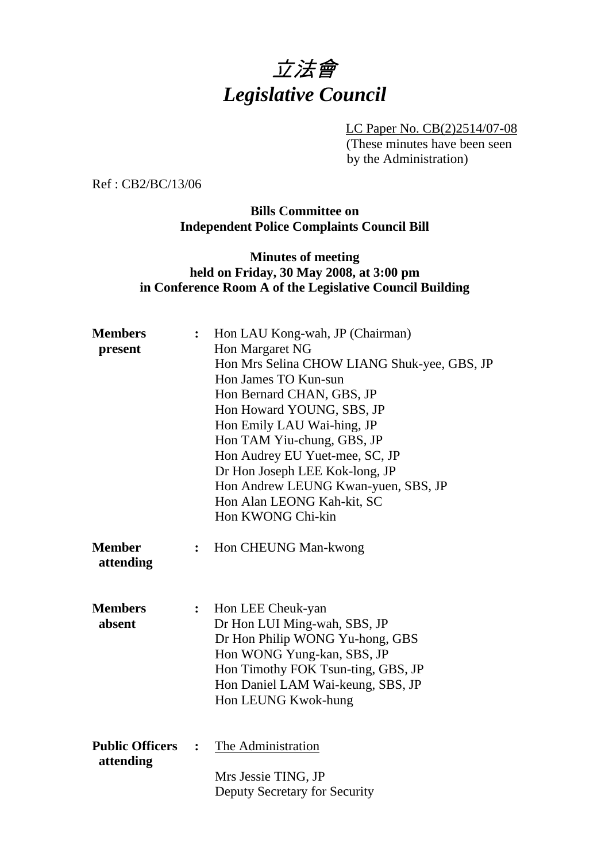

 LC Paper No. CB(2)2514/07-08 (These minutes have been seen by the Administration)

Ref : CB2/BC/13/06

#### **Bills Committee on Independent Police Complaints Council Bill**

## **Minutes of meeting held on Friday, 30 May 2008, at 3:00 pm in Conference Room A of the Legislative Council Building**

| <b>Members</b>                      | Hon LAU Kong-wah, JP (Chairman) |                                             |  |
|-------------------------------------|---------------------------------|---------------------------------------------|--|
| present                             |                                 | Hon Margaret NG                             |  |
|                                     |                                 | Hon Mrs Selina CHOW LIANG Shuk-yee, GBS, JP |  |
|                                     |                                 | Hon James TO Kun-sun                        |  |
|                                     |                                 | Hon Bernard CHAN, GBS, JP                   |  |
|                                     |                                 | Hon Howard YOUNG, SBS, JP                   |  |
|                                     |                                 | Hon Emily LAU Wai-hing, JP                  |  |
|                                     |                                 | Hon TAM Yiu-chung, GBS, JP                  |  |
|                                     |                                 | Hon Audrey EU Yuet-mee, SC, JP              |  |
|                                     |                                 | Dr Hon Joseph LEE Kok-long, JP              |  |
|                                     |                                 | Hon Andrew LEUNG Kwan-yuen, SBS, JP         |  |
|                                     |                                 | Hon Alan LEONG Kah-kit, SC                  |  |
|                                     |                                 | Hon KWONG Chi-kin                           |  |
|                                     |                                 |                                             |  |
| <b>Member</b><br>attending          | ፡                               | Hon CHEUNG Man-kwong                        |  |
| <b>Members</b>                      | $\ddot{\cdot}$                  | Hon LEE Cheuk-yan                           |  |
| absent                              |                                 | Dr Hon LUI Ming-wah, SBS, JP                |  |
|                                     |                                 | Dr Hon Philip WONG Yu-hong, GBS             |  |
|                                     |                                 | Hon WONG Yung-kan, SBS, JP                  |  |
|                                     |                                 | Hon Timothy FOK Tsun-ting, GBS, JP          |  |
|                                     |                                 | Hon Daniel LAM Wai-keung, SBS, JP           |  |
|                                     |                                 | Hon LEUNG Kwok-hung                         |  |
|                                     |                                 |                                             |  |
| <b>Public Officers</b><br>attending | $\ddot{\cdot}$                  | The Administration                          |  |
|                                     |                                 | Mrs Jessie TING, JP                         |  |
|                                     |                                 | Deputy Secretary for Security               |  |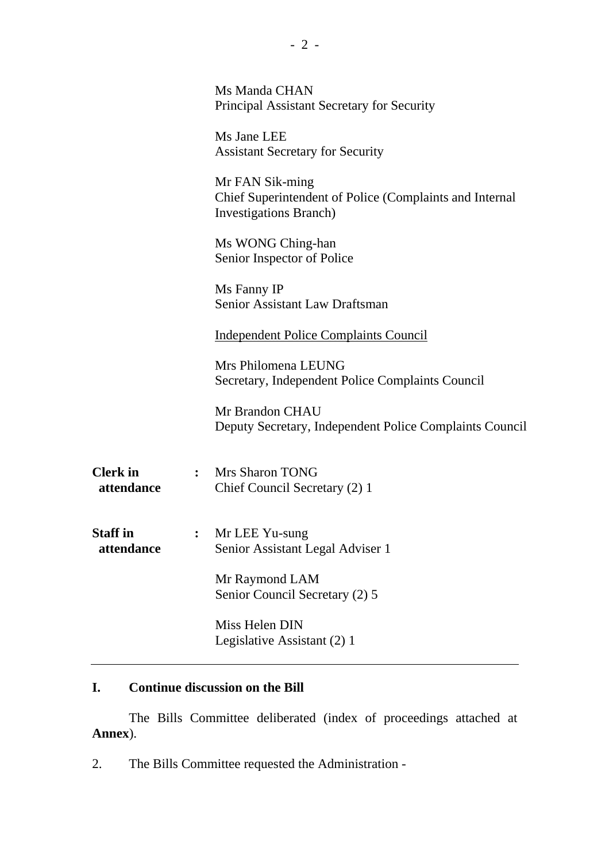|                               |                | Ms Manda CHAN<br>Principal Assistant Secretary for Security                                                  |
|-------------------------------|----------------|--------------------------------------------------------------------------------------------------------------|
|                               |                | Ms Jane LEE<br><b>Assistant Secretary for Security</b>                                                       |
|                               |                | Mr FAN Sik-ming<br>Chief Superintendent of Police (Complaints and Internal<br><b>Investigations Branch</b> ) |
|                               |                | Ms WONG Ching-han<br>Senior Inspector of Police                                                              |
|                               |                | Ms Fanny IP<br>Senior Assistant Law Draftsman                                                                |
|                               |                | <b>Independent Police Complaints Council</b>                                                                 |
|                               |                | Mrs Philomena LEUNG<br>Secretary, Independent Police Complaints Council                                      |
|                               |                | Mr Brandon CHAU<br>Deputy Secretary, Independent Police Complaints Council                                   |
| <b>Clerk</b> in<br>attendance | $\ddot{\cdot}$ | <b>Mrs Sharon TONG</b><br>Chief Council Secretary (2) 1                                                      |
| <b>Staff</b> in<br>attendance |                | Mr LEE Yu-sung<br>Senior Assistant Legal Adviser 1                                                           |
|                               |                | Mr Raymond LAM<br>Senior Council Secretary (2) 5                                                             |
|                               |                | Miss Helen DIN<br>Legislative Assistant (2) 1                                                                |

# **I. Continue discussion on the Bill**

1. The Bills Committee deliberated (index of proceedings attached at **Annex**).

2. The Bills Committee requested the Administration -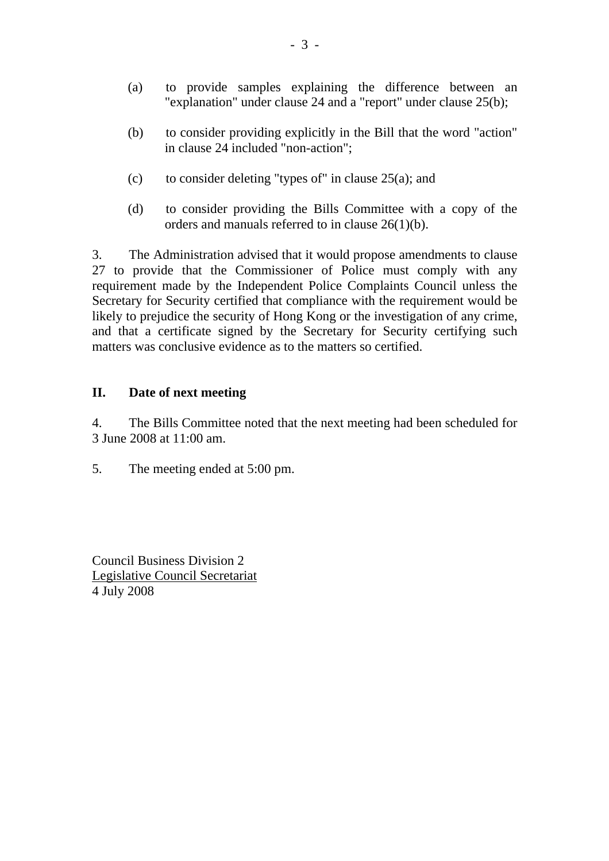- (a) to provide samples explaining the difference between an "explanation" under clause 24 and a "report" under clause 25(b);
- (b) to consider providing explicitly in the Bill that the word "action" in clause 24 included "non-action";
- (c) to consider deleting "types of" in clause  $25(a)$ ; and
- (d) to consider providing the Bills Committee with a copy of the orders and manuals referred to in clause 26(1)(b).

3. The Administration advised that it would propose amendments to clause 27 to provide that the Commissioner of Police must comply with any requirement made by the Independent Police Complaints Council unless the Secretary for Security certified that compliance with the requirement would be likely to prejudice the security of Hong Kong or the investigation of any crime, and that a certificate signed by the Secretary for Security certifying such matters was conclusive evidence as to the matters so certified.

## **II. Date of next meeting**

4. The Bills Committee noted that the next meeting had been scheduled for 3 June 2008 at 11:00 am.

5. The meeting ended at 5:00 pm.

Council Business Division 2 Legislative Council Secretariat 4 July 2008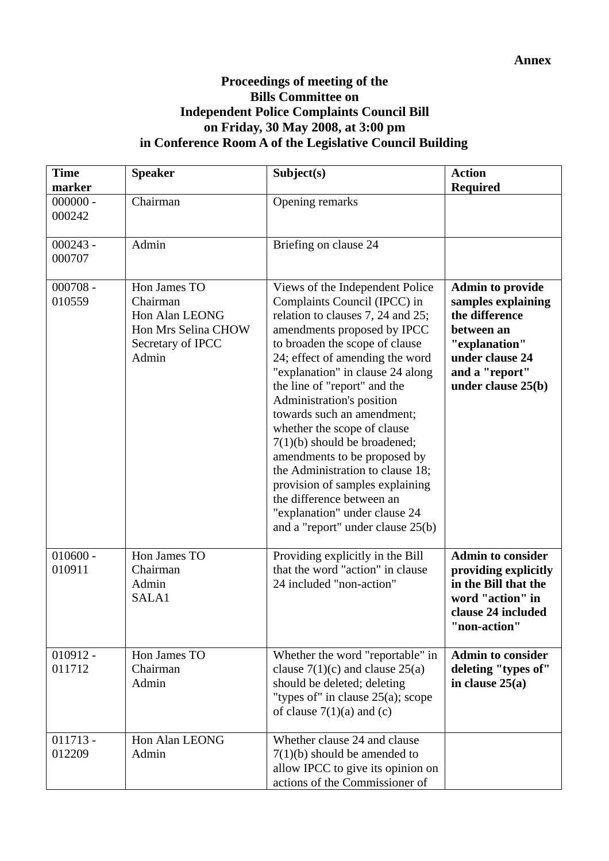## **Proceedings of meeting of the Bills Committee on Independent Police Complaints Council Bill on Friday, 30 May 2008, at 3:00 pm in Conference Room A of the Legislative Council Building**

| <b>Time</b><br>marker | <b>Speaker</b>                                                                                  | Subject(s)                                                                                                                                                                                                                                                                                                                                                                                                                                                                                                                                                                                                         | <b>Action</b><br><b>Required</b>                                                                                                                          |
|-----------------------|-------------------------------------------------------------------------------------------------|--------------------------------------------------------------------------------------------------------------------------------------------------------------------------------------------------------------------------------------------------------------------------------------------------------------------------------------------------------------------------------------------------------------------------------------------------------------------------------------------------------------------------------------------------------------------------------------------------------------------|-----------------------------------------------------------------------------------------------------------------------------------------------------------|
| $000000 -$<br>000242  | Chairman                                                                                        | Opening remarks                                                                                                                                                                                                                                                                                                                                                                                                                                                                                                                                                                                                    |                                                                                                                                                           |
| $000243 -$<br>000707  | Admin                                                                                           | Briefing on clause 24                                                                                                                                                                                                                                                                                                                                                                                                                                                                                                                                                                                              |                                                                                                                                                           |
| $000708 -$<br>010559  | Hon James TO<br>Chairman<br>Hon Alan LEONG<br>Hon Mrs Selina CHOW<br>Secretary of IPCC<br>Admin | Views of the Independent Police<br>Complaints Council (IPCC) in<br>relation to clauses 7, 24 and 25;<br>amendments proposed by IPCC<br>to broaden the scope of clause<br>24; effect of amending the word<br>"explanation" in clause 24 along<br>the line of "report" and the<br>Administration's position<br>towards such an amendment;<br>whether the scope of clause<br>$7(1)(b)$ should be broadened;<br>amendments to be proposed by<br>the Administration to clause 18;<br>provision of samples explaining<br>the difference between an<br>"explanation" under clause 24<br>and a "report" under clause 25(b) | <b>Admin to provide</b><br>samples explaining<br>the difference<br>between an<br>"explanation"<br>under clause 24<br>and a "report"<br>under clause 25(b) |
| $010600 -$<br>010911  | Hon James TO<br>Chairman<br>Admin<br>SALA1                                                      | Providing explicitly in the Bill<br>that the word "action" in clause<br>24 included "non-action"                                                                                                                                                                                                                                                                                                                                                                                                                                                                                                                   | <b>Admin to consider</b><br>providing explicitly<br>in the Bill that the<br>word "action" in<br>clause 24 included<br>non-action'                         |
| $010912 -$<br>011712  | Hon James TO<br>Chairman<br>Admin                                                               | Whether the word "reportable" in<br>clause $7(1)(c)$ and clause $25(a)$<br>should be deleted; deleting<br>"types of" in clause $25(a)$ ; scope<br>of clause $7(1)(a)$ and (c)                                                                                                                                                                                                                                                                                                                                                                                                                                      | <b>Admin to consider</b><br>deleting "types of"<br>in clause $25(a)$                                                                                      |
| $011713 -$<br>012209  | Hon Alan LEONG<br>Admin                                                                         | Whether clause 24 and clause<br>$7(1)(b)$ should be amended to<br>allow IPCC to give its opinion on<br>actions of the Commissioner of                                                                                                                                                                                                                                                                                                                                                                                                                                                                              |                                                                                                                                                           |